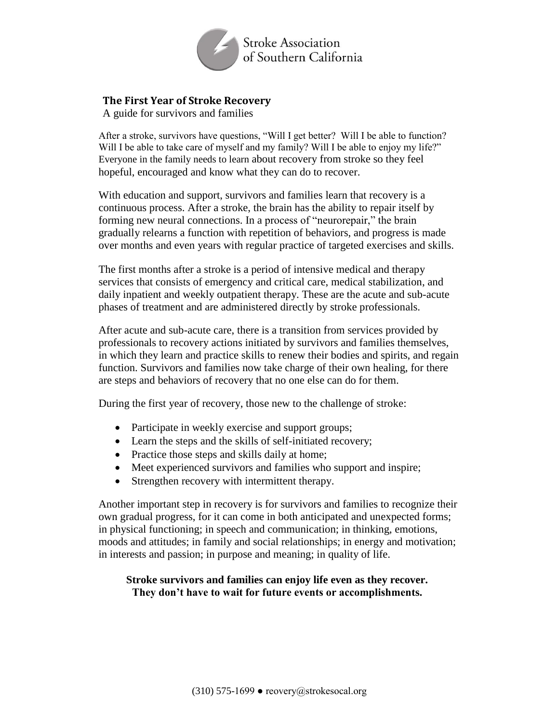

# **The First Year of Stroke Recovery**

A guide for survivors and families

After a stroke, survivors have questions, "Will I get better? Will I be able to function? Will I be able to take care of myself and my family? Will I be able to enjoy my life?" Everyone in the family needs to learn about recovery from stroke so they feel hopeful, encouraged and know what they can do to recover.

With education and support, survivors and families learn that recovery is a continuous process. After a stroke, the brain has the ability to repair itself by forming new neural connections. In a process of "neurorepair," the brain gradually relearns a function with repetition of behaviors, and progress is made over months and even years with regular practice of targeted exercises and skills.

The first months after a stroke is a period of intensive medical and therapy services that consists of emergency and critical care, medical stabilization, and daily inpatient and weekly outpatient therapy. These are the acute and sub-acute phases of treatment and are administered directly by stroke professionals.

After acute and sub-acute care, there is a transition from services provided by professionals to recovery actions initiated by survivors and families themselves, in which they learn and practice skills to renew their bodies and spirits, and regain function. Survivors and families now take charge of their own healing, for there are steps and behaviors of recovery that no one else can do for them.

During the first year of recovery, those new to the challenge of stroke:

- Participate in weekly exercise and support groups;
- Learn the steps and the skills of self-initiated recovery;
- Practice those steps and skills daily at home;
- Meet experienced survivors and families who support and inspire;
- Strengthen recovery with intermittent therapy.

Another important step in recovery is for survivors and families to recognize their own gradual progress, for it can come in both anticipated and unexpected forms; in physical functioning; in speech and communication; in thinking, emotions, moods and attitudes; in family and social relationships; in energy and motivation; in interests and passion; in purpose and meaning; in quality of life.

### **Stroke survivors and families can enjoy life even as they recover. They don't have to wait for future events or accomplishments.**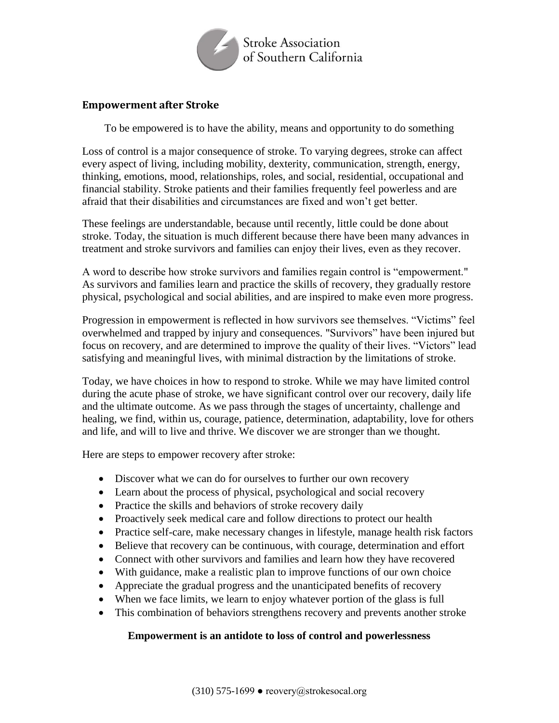

## **Empowerment after Stroke**

To be empowered is to have the ability, means and opportunity to do something

Loss of control is a major consequence of stroke. To varying degrees, stroke can affect every aspect of living, including mobility, dexterity, communication, strength, energy, thinking, emotions, mood, relationships, roles, and social, residential, occupational and financial stability. Stroke patients and their families frequently feel powerless and are afraid that their disabilities and circumstances are fixed and won't get better.

These feelings are understandable, because until recently, little could be done about stroke. Today, the situation is much different because there have been many advances in treatment and stroke survivors and families can enjoy their lives, even as they recover.

A word to describe how stroke survivors and families regain control is "empowerment." As survivors and families learn and practice the skills of recovery, they gradually restore physical, psychological and social abilities, and are inspired to make even more progress.

Progression in empowerment is reflected in how survivors see themselves. "Victims" feel overwhelmed and trapped by injury and consequences. "Survivors" have been injured but focus on recovery, and are determined to improve the quality of their lives. "Victors" lead satisfying and meaningful lives, with minimal distraction by the limitations of stroke.

Today, we have choices in how to respond to stroke. While we may have limited control during the acute phase of stroke, we have significant control over our recovery, daily life and the ultimate outcome. As we pass through the stages of uncertainty, challenge and healing, we find, within us, courage, patience, determination, adaptability, love for others and life, and will to live and thrive. We discover we are stronger than we thought.

Here are steps to empower recovery after stroke:

- Discover what we can do for ourselves to further our own recovery
- Learn about the process of physical, psychological and social recovery
- Practice the skills and behaviors of stroke recovery daily
- Proactively seek medical care and follow directions to protect our health
- Practice self-care, make necessary changes in lifestyle, manage health risk factors
- Believe that recovery can be continuous, with courage, determination and effort
- Connect with other survivors and families and learn how they have recovered
- With guidance, make a realistic plan to improve functions of our own choice
- Appreciate the gradual progress and the unanticipated benefits of recovery
- When we face limits, we learn to enjoy whatever portion of the glass is full
- This combination of behaviors strengthens recovery and prevents another stroke

#### **Empowerment is an antidote to loss of control and powerlessness**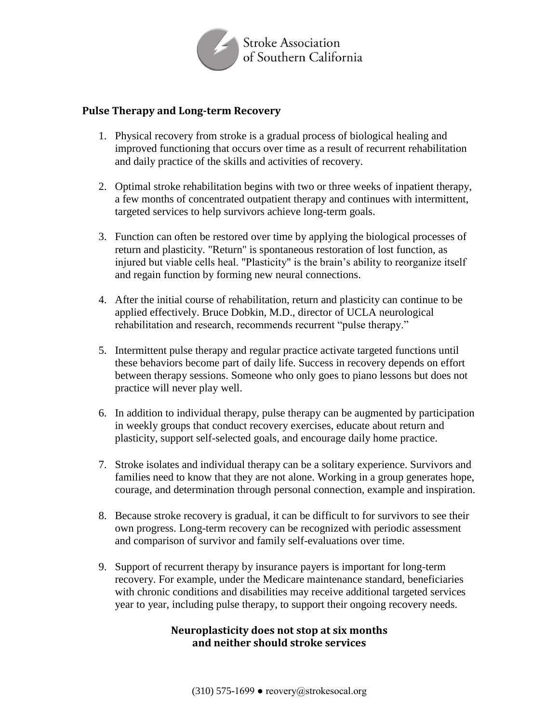

### **Pulse Therapy and Long-term Recovery**

- 1. Physical recovery from stroke is a gradual process of biological healing and improved functioning that occurs over time as a result of recurrent rehabilitation and daily practice of the skills and activities of recovery.
- 2. Optimal stroke rehabilitation begins with two or three weeks of inpatient therapy, a few months of concentrated outpatient therapy and continues with intermittent, targeted services to help survivors achieve long-term goals.
- 3. Function can often be restored over time by applying the biological processes of return and plasticity. "Return" is spontaneous restoration of lost function, as injured but viable cells heal. "Plasticity" is the brain's ability to reorganize itself and regain function by forming new neural connections.
- 4. After the initial course of rehabilitation, return and plasticity can continue to be applied effectively. Bruce Dobkin, M.D., director of UCLA neurological rehabilitation and research, recommends recurrent "pulse therapy."
- 5. Intermittent pulse therapy and regular practice activate targeted functions until these behaviors become part of daily life. Success in recovery depends on effort between therapy sessions. Someone who only goes to piano lessons but does not practice will never play well.
- 6. In addition to individual therapy, pulse therapy can be augmented by participation in weekly groups that conduct recovery exercises, educate about return and plasticity, support self-selected goals, and encourage daily home practice.
- 7. Stroke isolates and individual therapy can be a solitary experience. Survivors and families need to know that they are not alone. Working in a group generates hope, courage, and determination through personal connection, example and inspiration.
- 8. Because stroke recovery is gradual, it can be difficult to for survivors to see their own progress. Long-term recovery can be recognized with periodic assessment and comparison of survivor and family self-evaluations over time.
- 9. Support of recurrent therapy by insurance payers is important for long-term recovery. For example, under the Medicare maintenance standard, beneficiaries with chronic conditions and disabilities may receive additional targeted services year to year, including pulse therapy, to support their ongoing recovery needs.

## **Neuroplasticity does not stop at six months and neither should stroke services**